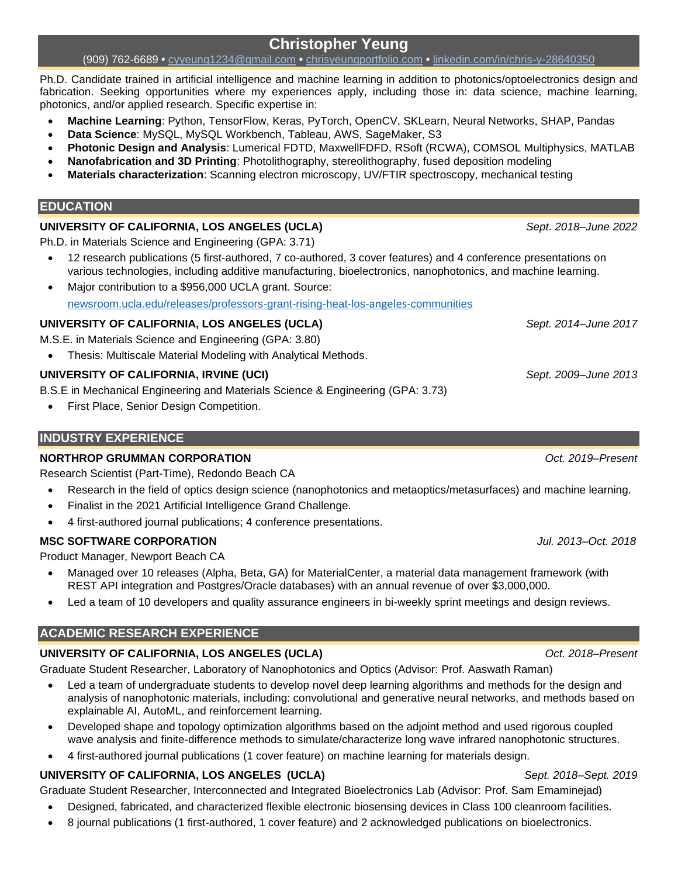# **Christopher Yeung**

## (909) 762-6689 **•** [cyyeung1234@gmail.com](mailto:cyyeung1234@gmail.com) **•** [chrisyeungportfolio.com](https://www.chrisyeungportfolio.com/) **•** [linkedin.com/in/chris-y-28640350](https://www.linkedin.com/in/chris-y-28640350/)

Ph.D. Candidate trained in artificial intelligence and machine learning in addition to photonics/optoelectronics design and fabrication. Seeking opportunities where my experiences apply, including those in: data science, machine learning, photonics, and/or applied research. Specific expertise in:

- **Machine Learning**: Python, TensorFlow, Keras, PyTorch, OpenCV, SKLearn, Neural Networks, SHAP, Pandas
- **Data Science**: MySQL, MySQL Workbench, Tableau, AWS, SageMaker, S3
- **Photonic Design and Analysis**: Lumerical FDTD, MaxwellFDFD, RSoft (RCWA), COMSOL Multiphysics, MATLAB
- **Nanofabrication and 3D Printing**: Photolithography, stereolithography, fused deposition modeling
- **Materials characterization**: Scanning electron microscopy, UV/FTIR spectroscopy, mechanical testing

## **EDUCATION**

## **UNIVERSITY OF CALIFORNIA, LOS ANGELES (UCLA)** *Sept. 2018–June 2022*

Ph.D. in Materials Science and Engineering (GPA: 3.71)

- 12 research publications (5 first-authored, 7 co-authored, 3 cover features) and 4 conference presentations on various technologies, including additive manufacturing, bioelectronics, nanophotonics, and machine learning.
- Major contribution to a \$956,000 UCLA grant. Source: [newsroom.ucla.edu/releases/professors-grant-rising-heat-los-](https://newsroom.ucla.edu/releases/professors-grant-rising-heat-los-angeles-communities)angeles-communities

# **UNIVERSITY OF CALIFORNIA, LOS ANGELES (UCLA)** *Sept. 2014–June 2017*

M.S.E. in Materials Science and Engineering (GPA: 3.80)

• Thesis: Multiscale Material Modeling with Analytical Methods.

# **UNIVERSITY OF CALIFORNIA, IRVINE (UCI)** *Sept. 2009–June 2013*

B.S.E in Mechanical Engineering and Materials Science & Engineering (GPA: 3.73)

• First Place, Senior Design Competition.

# **INDUSTRY EXPERIENCE**

# **NORTHROP GRUMMAN CORPORATION** *Oct. 2019–Present*

Research Scientist (Part-Time), Redondo Beach CA

- Research in the field of optics design science (nanophotonics and metaoptics/metasurfaces) and machine learning.
- Finalist in the 2021 Artificial Intelligence Grand Challenge.
- 4 first-authored journal publications; 4 conference presentations.

# **MSC SOFTWARE CORPORATION** *Jul. 2013–Oct. 2018*

Product Manager, Newport Beach CA

- Managed over 10 releases (Alpha, Beta, GA) for MaterialCenter, a material data management framework (with REST API integration and Postgres/Oracle databases) with an annual revenue of over \$3,000,000.
- Led a team of 10 developers and quality assurance engineers in bi-weekly sprint meetings and design reviews.

# **ACADEMIC RESEARCH EXPERIENCE**

# **UNIVERSITY OF CALIFORNIA, LOS ANGELES (UCLA)** *Oct. 2018–Present*

Graduate Student Researcher, Laboratory of Nanophotonics and Optics (Advisor: Prof. Aaswath Raman)

- Led a team of undergraduate students to develop novel deep learning algorithms and methods for the design and analysis of nanophotonic materials, including: convolutional and generative neural networks, and methods based on explainable AI, AutoML, and reinforcement learning.
- Developed shape and topology optimization algorithms based on the adjoint method and used rigorous coupled wave analysis and finite-difference methods to simulate/characterize long wave infrared nanophotonic structures.
- 4 first-authored journal publications (1 cover feature) on machine learning for materials design.

# **UNIVERSITY OF CALIFORNIA, LOS ANGELES (UCLA)** *Sept. 2018–Sept. 2019*

Graduate Student Researcher, Interconnected and Integrated Bioelectronics Lab (Advisor: Prof. Sam Emaminejad)

- Designed, fabricated, and characterized flexible electronic biosensing devices in Class 100 cleanroom facilities.
- 8 journal publications (1 first-authored, 1 cover feature) and 2 acknowledged publications on bioelectronics.